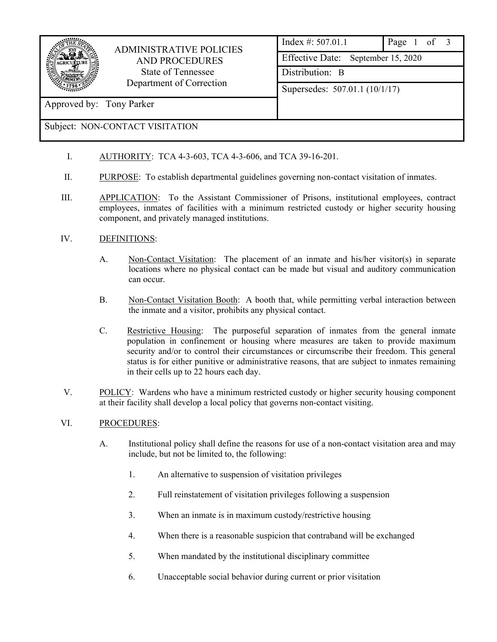

# ADMINISTRATIVE POLICIES AND PROCEDURES State of Tennessee Department of Correction

Index #: 507.01.1 Page 1 of 3 Effective Date: September 15, 2020 Distribution: B Supersedes: 507.01.1 (10/1/17)

## Subject: NON-CONTACT VISITATION

Approved by: Tony Parker

- I. AUTHORITY: TCA 4-3-603, TCA 4-3-606, and TCA 39-16-201.
- II. PURPOSE: To establish departmental guidelines governing non-contact visitation of inmates.
- III. APPLICATION: To the Assistant Commissioner of Prisons, institutional employees, contract employees, inmates of facilities with a minimum restricted custody or higher security housing component, and privately managed institutions.

### IV. DEFINITIONS:

- A. Non-Contact Visitation: The placement of an inmate and his/her visitor(s) in separate locations where no physical contact can be made but visual and auditory communication can occur.
- B. Non-Contact Visitation Booth: A booth that, while permitting verbal interaction between the inmate and a visitor, prohibits any physical contact.
- C. Restrictive Housing: The purposeful separation of inmates from the general inmate population in confinement or housing where measures are taken to provide maximum security and/or to control their circumstances or circumscribe their freedom. This general status is for either punitive or administrative reasons, that are subject to inmates remaining in their cells up to 22 hours each day.
- V. POLICY: Wardens who have a minimum restricted custody or higher security housing component at their facility shall develop a local policy that governs non-contact visiting.

#### VI. PROCEDURES:

- A. Institutional policy shall define the reasons for use of a non-contact visitation area and may include, but not be limited to, the following:
	- 1. An alternative to suspension of visitation privileges
	- 2. Full reinstatement of visitation privileges following a suspension
	- 3. When an inmate is in maximum custody/restrictive housing
	- 4. When there is a reasonable suspicion that contraband will be exchanged
	- 5. When mandated by the institutional disciplinary committee
	- 6. Unacceptable social behavior during current or prior visitation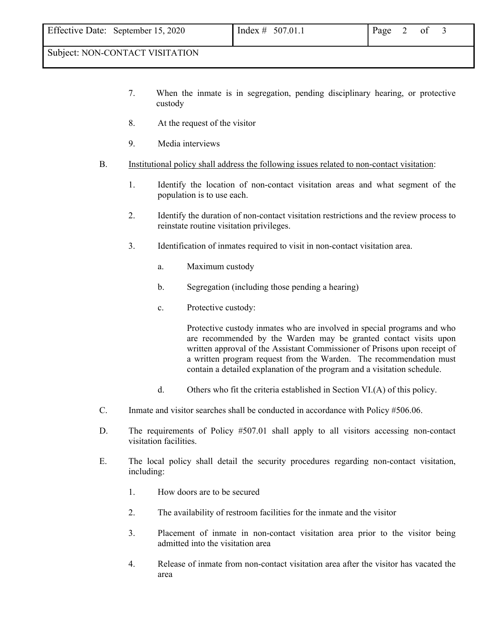#### Subject: NON-CONTACT VISITATION

- 7. When the inmate is in segregation, pending disciplinary hearing, or protective custody
- 8. At the request of the visitor
- 9. Media interviews
- B. Institutional policy shall address the following issues related to non-contact visitation:
	- 1. Identify the location of non-contact visitation areas and what segment of the population is to use each.
	- 2. Identify the duration of non-contact visitation restrictions and the review process to reinstate routine visitation privileges.
	- 3. Identification of inmates required to visit in non-contact visitation area.
		- a. Maximum custody
		- b. Segregation (including those pending a hearing)
		- c. Protective custody:

 Protective custody inmates who are involved in special programs and who are recommended by the Warden may be granted contact visits upon written approval of the Assistant Commissioner of Prisons upon receipt of a written program request from the Warden. The recommendation must contain a detailed explanation of the program and a visitation schedule.

- d. Others who fit the criteria established in Section VI.(A) of this policy.
- C. Inmate and visitor searches shall be conducted in accordance with Policy #506.06.
- D. The requirements of Policy #507.01 shall apply to all visitors accessing non-contact visitation facilities.
- E. The local policy shall detail the security procedures regarding non-contact visitation, including:
	- 1. How doors are to be secured
	- 2. The availability of restroom facilities for the inmate and the visitor
	- 3. Placement of inmate in non-contact visitation area prior to the visitor being admitted into the visitation area
	- 4. Release of inmate from non-contact visitation area after the visitor has vacated the area